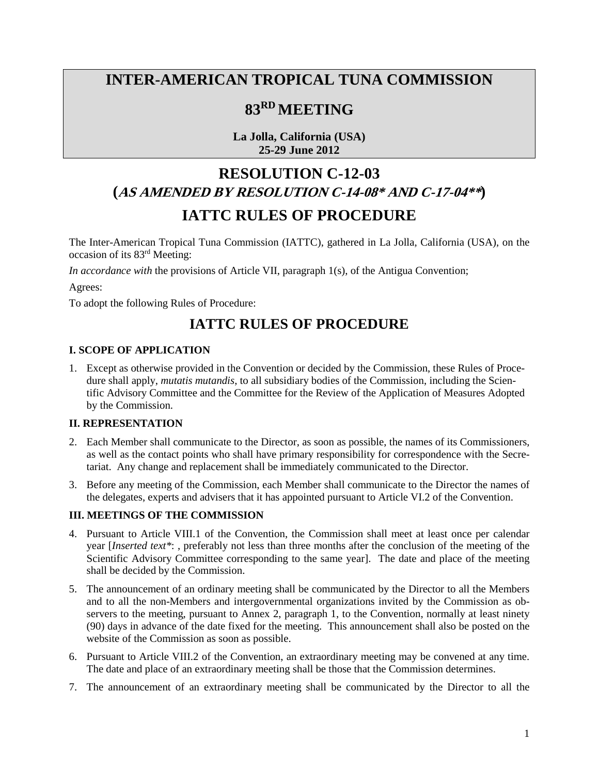# **INTER-AMERICAN TROPICAL TUNA COMMISSION**

## **83RD MEETING**

**La Jolla, California (USA) 25-29 June 2012**

# **RESOLUTION C-12-03 (AS AMENDED BY RESOLUTION C-14-08\* AND C-17-04\*\*) IATTC RULES OF PROCEDURE**

The Inter-American Tropical Tuna Commission (IATTC), gathered in La Jolla, California (USA), on the occasion of its 83rd Meeting:

*In accordance with* the provisions of Article VII, paragraph 1(s), of the Antigua Convention;

Agrees:

To adopt the following Rules of Procedure:

# **IATTC RULES OF PROCEDURE**

#### **I. SCOPE OF APPLICATION**

1. Except as otherwise provided in the Convention or decided by the Commission, these Rules of Procedure shall apply, *mutatis mutandis*, to all subsidiary bodies of the Commission, including the Scientific Advisory Committee and the Committee for the Review of the Application of Measures Adopted by the Commission.

#### **II. REPRESENTATION**

- 2. Each Member shall communicate to the Director, as soon as possible, the names of its Commissioners, as well as the contact points who shall have primary responsibility for correspondence with the Secretariat. Any change and replacement shall be immediately communicated to the Director.
- 3. Before any meeting of the Commission, each Member shall communicate to the Director the names of the delegates, experts and advisers that it has appointed pursuant to Article VI.2 of the Convention.

#### **III. MEETINGS OF THE COMMISSION**

- 4. Pursuant to Article VIII.1 of the Convention, the Commission shall meet at least once per calendar year [*Inserted text\**: , preferably not less than three months after the conclusion of the meeting of the Scientific Advisory Committee corresponding to the same year]. The date and place of the meeting shall be decided by the Commission.
- 5. The announcement of an ordinary meeting shall be communicated by the Director to all the Members and to all the non-Members and intergovernmental organizations invited by the Commission as observers to the meeting, pursuant to Annex 2, paragraph 1, to the Convention, normally at least ninety (90) days in advance of the date fixed for the meeting. This announcement shall also be posted on the website of the Commission as soon as possible.
- 6. Pursuant to Article VIII.2 of the Convention, an extraordinary meeting may be convened at any time. The date and place of an extraordinary meeting shall be those that the Commission determines.
- 7. The announcement of an extraordinary meeting shall be communicated by the Director to all the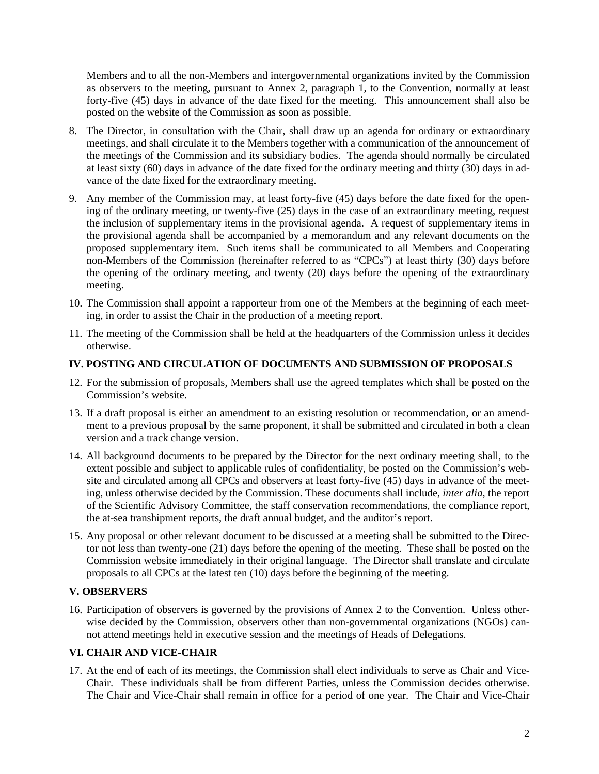Members and to all the non-Members and intergovernmental organizations invited by the Commission as observers to the meeting, pursuant to Annex 2, paragraph 1, to the Convention, normally at least forty-five (45) days in advance of the date fixed for the meeting. This announcement shall also be posted on the website of the Commission as soon as possible.

- 8. The Director, in consultation with the Chair, shall draw up an agenda for ordinary or extraordinary meetings, and shall circulate it to the Members together with a communication of the announcement of the meetings of the Commission and its subsidiary bodies. The agenda should normally be circulated at least sixty (60) days in advance of the date fixed for the ordinary meeting and thirty (30) days in advance of the date fixed for the extraordinary meeting.
- 9. Any member of the Commission may, at least forty-five (45) days before the date fixed for the opening of the ordinary meeting, or twenty-five (25) days in the case of an extraordinary meeting, request the inclusion of supplementary items in the provisional agenda. A request of supplementary items in the provisional agenda shall be accompanied by a memorandum and any relevant documents on the proposed supplementary item. Such items shall be communicated to all Members and Cooperating non-Members of the Commission (hereinafter referred to as "CPCs") at least thirty (30) days before the opening of the ordinary meeting, and twenty (20) days before the opening of the extraordinary meeting.
- 10. The Commission shall appoint a rapporteur from one of the Members at the beginning of each meeting, in order to assist the Chair in the production of a meeting report.
- 11. The meeting of the Commission shall be held at the headquarters of the Commission unless it decides otherwise.

#### **IV. POSTING AND CIRCULATION OF DOCUMENTS AND SUBMISSION OF PROPOSALS**

- 12. For the submission of proposals, Members shall use the agreed templates which shall be posted on the Commission's website.
- 13. If a draft proposal is either an amendment to an existing resolution or recommendation, or an amendment to a previous proposal by the same proponent, it shall be submitted and circulated in both a clean version and a track change version.
- 14. All background documents to be prepared by the Director for the next ordinary meeting shall, to the extent possible and subject to applicable rules of confidentiality, be posted on the Commission's website and circulated among all CPCs and observers at least forty-five (45) days in advance of the meeting, unless otherwise decided by the Commission. These documents shall include, *inter alia*, the report of the Scientific Advisory Committee, the staff conservation recommendations, the compliance report, the at-sea transhipment reports, the draft annual budget, and the auditor's report.
- 15. Any proposal or other relevant document to be discussed at a meeting shall be submitted to the Director not less than twenty-one (21) days before the opening of the meeting. These shall be posted on the Commission website immediately in their original language. The Director shall translate and circulate proposals to all CPCs at the latest ten (10) days before the beginning of the meeting.

#### **V. OBSERVERS**

16. Participation of observers is governed by the provisions of Annex 2 to the Convention. Unless otherwise decided by the Commission, observers other than non-governmental organizations (NGOs) cannot attend meetings held in executive session and the meetings of Heads of Delegations.

#### **VI. CHAIR AND VICE-CHAIR**

17. At the end of each of its meetings, the Commission shall elect individuals to serve as Chair and Vice-Chair. These individuals shall be from different Parties, unless the Commission decides otherwise. The Chair and Vice-Chair shall remain in office for a period of one year. The Chair and Vice-Chair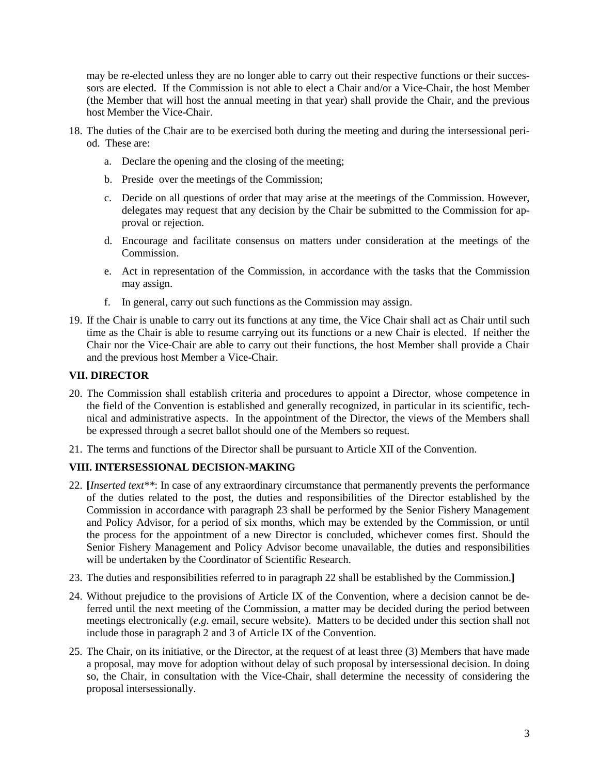may be re-elected unless they are no longer able to carry out their respective functions or their successors are elected. If the Commission is not able to elect a Chair and/or a Vice-Chair, the host Member (the Member that will host the annual meeting in that year) shall provide the Chair, and the previous host Member the Vice-Chair.

- 18. The duties of the Chair are to be exercised both during the meeting and during the intersessional period. These are:
	- a. Declare the opening and the closing of the meeting;
	- b. Preside over the meetings of the Commission;
	- c. Decide on all questions of order that may arise at the meetings of the Commission. However, delegates may request that any decision by the Chair be submitted to the Commission for approval or rejection.
	- d. Encourage and facilitate consensus on matters under consideration at the meetings of the Commission.
	- e. Act in representation of the Commission, in accordance with the tasks that the Commission may assign.
	- f. In general, carry out such functions as the Commission may assign.
- 19. If the Chair is unable to carry out its functions at any time, the Vice Chair shall act as Chair until such time as the Chair is able to resume carrying out its functions or a new Chair is elected. If neither the Chair nor the Vice-Chair are able to carry out their functions, the host Member shall provide a Chair and the previous host Member a Vice-Chair.

#### **VII. DIRECTOR**

- 20. The Commission shall establish criteria and procedures to appoint a Director, whose competence in the field of the Convention is established and generally recognized, in particular in its scientific, technical and administrative aspects. In the appointment of the Director, the views of the Members shall be expressed through a secret ballot should one of the Members so request.
- 21. The terms and functions of the Director shall be pursuant to Article XII of the Convention.

#### **VIII. INTERSESSIONAL DECISION-MAKING**

- 22. **[***Inserted text\*\**: In case of any extraordinary circumstance that permanently prevents the performance of the duties related to the post, the duties and responsibilities of the Director established by the Commission in accordance with paragraph 23 shall be performed by the Senior Fishery Management and Policy Advisor, for a period of six months, which may be extended by the Commission, or until the process for the appointment of a new Director is concluded, whichever comes first. Should the Senior Fishery Management and Policy Advisor become unavailable, the duties and responsibilities will be undertaken by the Coordinator of Scientific Research.
- 23. The duties and responsibilities referred to in paragraph 22 shall be established by the Commission.**]**
- 24. Without prejudice to the provisions of Article IX of the Convention, where a decision cannot be deferred until the next meeting of the Commission, a matter may be decided during the period between meetings electronically (*e.g*. email, secure website). Matters to be decided under this section shall not include those in paragraph 2 and 3 of Article IX of the Convention.
- 25. The Chair, on its initiative, or the Director, at the request of at least three (3) Members that have made a proposal, may move for adoption without delay of such proposal by intersessional decision. In doing so, the Chair, in consultation with the Vice-Chair, shall determine the necessity of considering the proposal intersessionally.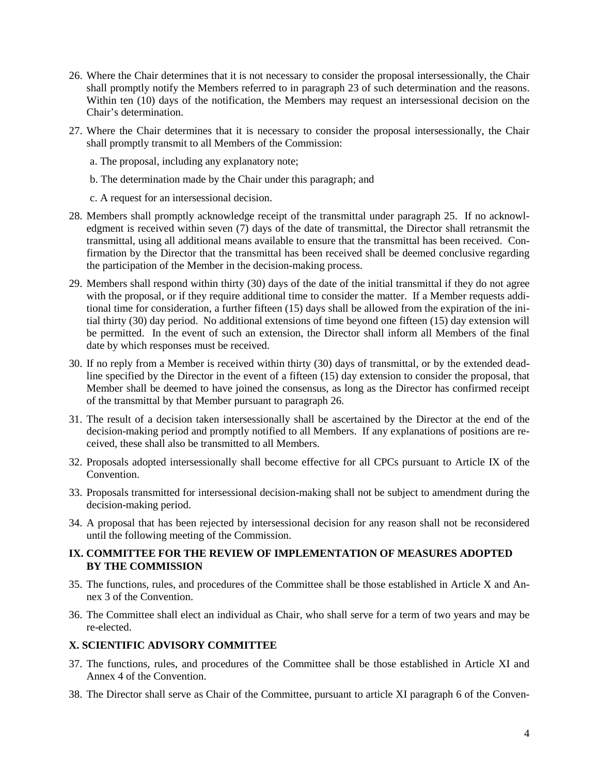- 26. Where the Chair determines that it is not necessary to consider the proposal intersessionally, the Chair shall promptly notify the Members referred to in paragraph 23 of such determination and the reasons. Within ten (10) days of the notification, the Members may request an intersessional decision on the Chair's determination.
- 27. Where the Chair determines that it is necessary to consider the proposal intersessionally, the Chair shall promptly transmit to all Members of the Commission:
	- a. The proposal, including any explanatory note;
	- b. The determination made by the Chair under this paragraph; and
	- c. A request for an intersessional decision.
- 28. Members shall promptly acknowledge receipt of the transmittal under paragraph 25. If no acknowledgment is received within seven (7) days of the date of transmittal, the Director shall retransmit the transmittal, using all additional means available to ensure that the transmittal has been received. Confirmation by the Director that the transmittal has been received shall be deemed conclusive regarding the participation of the Member in the decision-making process.
- 29. Members shall respond within thirty (30) days of the date of the initial transmittal if they do not agree with the proposal, or if they require additional time to consider the matter. If a Member requests additional time for consideration, a further fifteen (15) days shall be allowed from the expiration of the initial thirty (30) day period. No additional extensions of time beyond one fifteen (15) day extension will be permitted. In the event of such an extension, the Director shall inform all Members of the final date by which responses must be received.
- 30. If no reply from a Member is received within thirty (30) days of transmittal, or by the extended deadline specified by the Director in the event of a fifteen (15) day extension to consider the proposal, that Member shall be deemed to have joined the consensus, as long as the Director has confirmed receipt of the transmittal by that Member pursuant to paragraph 26.
- 31. The result of a decision taken intersessionally shall be ascertained by the Director at the end of the decision-making period and promptly notified to all Members. If any explanations of positions are received, these shall also be transmitted to all Members.
- 32. Proposals adopted intersessionally shall become effective for all CPCs pursuant to Article IX of the Convention.
- 33. Proposals transmitted for intersessional decision-making shall not be subject to amendment during the decision-making period.
- 34. A proposal that has been rejected by intersessional decision for any reason shall not be reconsidered until the following meeting of the Commission.

#### **IX. COMMITTEE FOR THE REVIEW OF IMPLEMENTATION OF MEASURES ADOPTED BY THE COMMISSION**

- 35. The functions, rules, and procedures of the Committee shall be those established in Article X and Annex 3 of the Convention.
- 36. The Committee shall elect an individual as Chair, who shall serve for a term of two years and may be re-elected.

#### **X. SCIENTIFIC ADVISORY COMMITTEE**

- 37. The functions, rules, and procedures of the Committee shall be those established in Article XI and Annex 4 of the Convention.
- 38. The Director shall serve as Chair of the Committee, pursuant to article XI paragraph 6 of the Conven-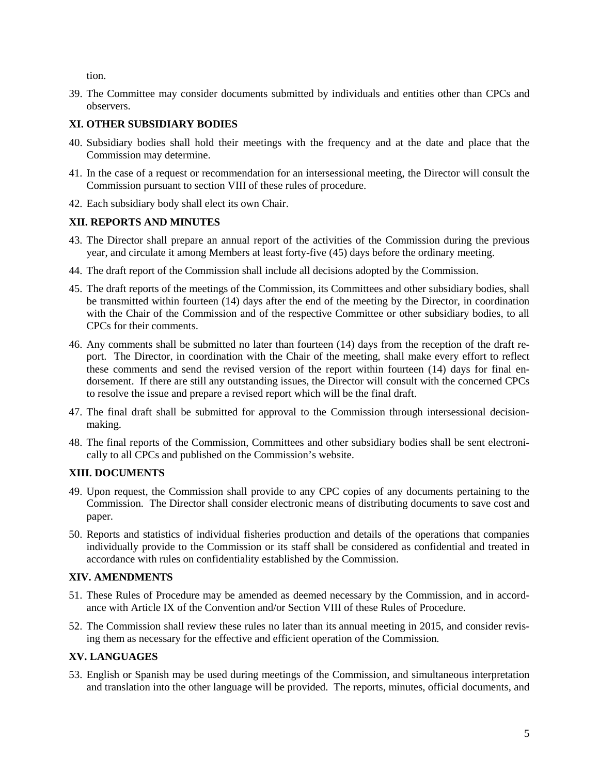tion.

39. The Committee may consider documents submitted by individuals and entities other than CPCs and observers.

### **XI. OTHER SUBSIDIARY BODIES**

- 40. Subsidiary bodies shall hold their meetings with the frequency and at the date and place that the Commission may determine.
- 41. In the case of a request or recommendation for an intersessional meeting, the Director will consult the Commission pursuant to section VIII of these rules of procedure.
- 42. Each subsidiary body shall elect its own Chair.

#### **XII. REPORTS AND MINUTES**

- 43. The Director shall prepare an annual report of the activities of the Commission during the previous year, and circulate it among Members at least forty-five (45) days before the ordinary meeting.
- 44. The draft report of the Commission shall include all decisions adopted by the Commission.
- 45. The draft reports of the meetings of the Commission, its Committees and other subsidiary bodies, shall be transmitted within fourteen (14) days after the end of the meeting by the Director, in coordination with the Chair of the Commission and of the respective Committee or other subsidiary bodies, to all CPCs for their comments.
- 46. Any comments shall be submitted no later than fourteen (14) days from the reception of the draft report. The Director, in coordination with the Chair of the meeting, shall make every effort to reflect these comments and send the revised version of the report within fourteen (14) days for final endorsement. If there are still any outstanding issues, the Director will consult with the concerned CPCs to resolve the issue and prepare a revised report which will be the final draft.
- 47. The final draft shall be submitted for approval to the Commission through intersessional decisionmaking.
- 48. The final reports of the Commission, Committees and other subsidiary bodies shall be sent electronically to all CPCs and published on the Commission's website.

## **XIII. DOCUMENTS**

- 49. Upon request, the Commission shall provide to any CPC copies of any documents pertaining to the Commission. The Director shall consider electronic means of distributing documents to save cost and paper.
- 50. Reports and statistics of individual fisheries production and details of the operations that companies individually provide to the Commission or its staff shall be considered as confidential and treated in accordance with rules on confidentiality established by the Commission.

#### **XIV. AMENDMENTS**

- 51. These Rules of Procedure may be amended as deemed necessary by the Commission, and in accordance with Article IX of the Convention and/or Section VIII of these Rules of Procedure.
- 52. The Commission shall review these rules no later than its annual meeting in 2015, and consider revising them as necessary for the effective and efficient operation of the Commission.

## **XV. LANGUAGES**

53. English or Spanish may be used during meetings of the Commission, and simultaneous interpretation and translation into the other language will be provided. The reports, minutes, official documents, and